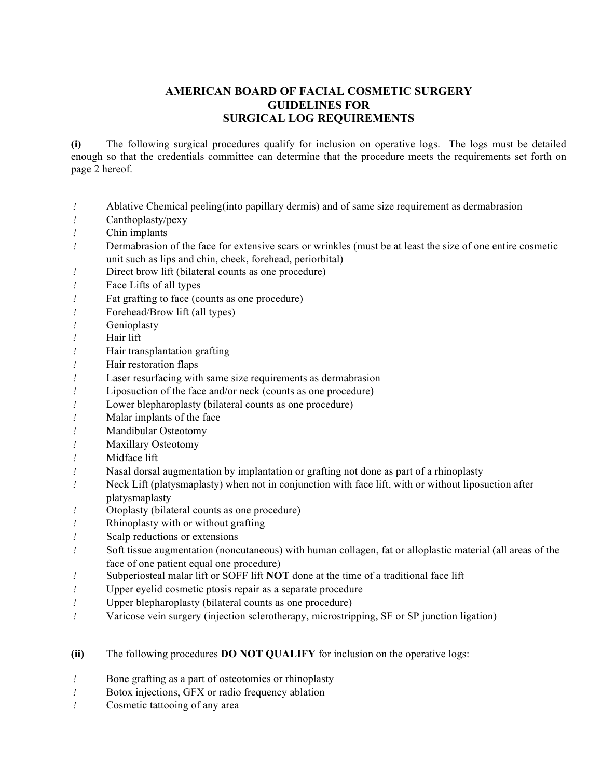## **AMERICAN BOARD OF FACIAL COSMETIC SURGERY GUIDELINES FOR SURGICAL LOG REQUIREMENTS**

**(i)** The following surgical procedures qualify for inclusion on operative logs. The logs must be detailed enough so that the credentials committee can determine that the procedure meets the requirements set forth on page 2 hereof.

- *!* Ablative Chemical peeling(into papillary dermis) and of same size requirement as dermabrasion
- *!* Canthoplasty/pexy
- *!* Chin implants
- *!* Dermabrasion of the face for extensive scars or wrinkles (must be at least the size of one entire cosmetic unit such as lips and chin, cheek, forehead, periorbital)
- *!* Direct brow lift (bilateral counts as one procedure)
- *!* Face Lifts of all types
- *!* Fat grafting to face (counts as one procedure)
- *!* Forehead/Brow lift (all types)
- *!* Genioplasty
- *!* Hair lift
- *!* Hair transplantation grafting
- *!* Hair restoration flaps
- *!* Laser resurfacing with same size requirements as dermabrasion
- *!* Liposuction of the face and/or neck (counts as one procedure)
- *!* Lower blepharoplasty (bilateral counts as one procedure)
- *!* Malar implants of the face
- *!* Mandibular Osteotomy
- *!* Maxillary Osteotomy
- *!* Midface lift
- *!* Nasal dorsal augmentation by implantation or grafting not done as part of a rhinoplasty
- *!* Neck Lift (platysmaplasty) when not in conjunction with face lift, with or without liposuction after platysmaplasty
- *!* Otoplasty (bilateral counts as one procedure)
- *!* Rhinoplasty with or without grafting
- *!* Scalp reductions or extensions
- *!* Soft tissue augmentation (noncutaneous) with human collagen, fat or alloplastic material (all areas of the face of one patient equal one procedure)
- *!* Subperiosteal malar lift or SOFF lift **NOT** done at the time of a traditional face lift
- *!* Upper eyelid cosmetic ptosis repair as a separate procedure
- *!* Upper blepharoplasty (bilateral counts as one procedure)
- *!* Varicose vein surgery (injection sclerotherapy, microstripping, SF or SP junction ligation)
- **(ii)** The following procedures **DO NOT QUALIFY** for inclusion on the operative logs:
- *!* Bone grafting as a part of osteotomies or rhinoplasty
- *!* Botox injections, GFX or radio frequency ablation
- *!* Cosmetic tattooing of any area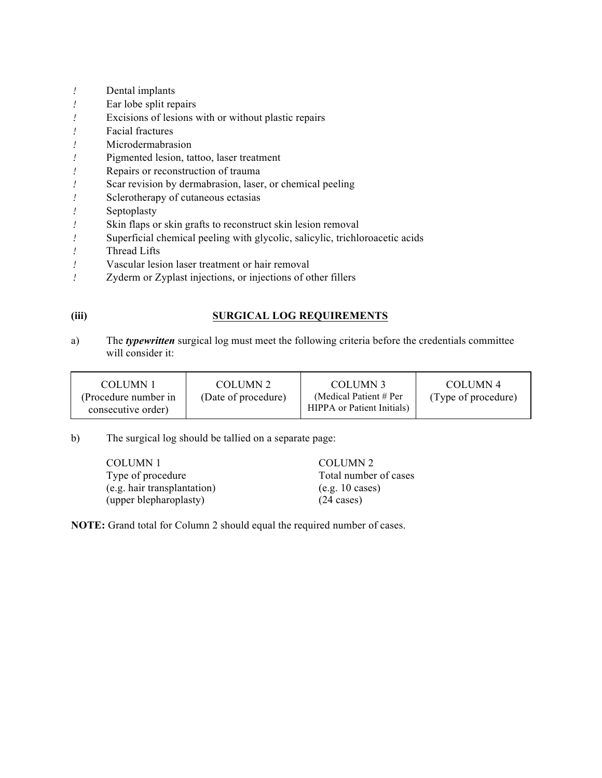- *!* Dental implants
- *!* Ear lobe split repairs
- *!* Excisions of lesions with or without plastic repairs
- *!* Facial fractures
- *!* Microdermabrasion
- *!* Pigmented lesion, tattoo, laser treatment
- *!* Repairs or reconstruction of trauma
- *!* Scar revision by dermabrasion, laser, or chemical peeling
- *!* Sclerotherapy of cutaneous ectasias
- *!* Septoplasty
- *!* Skin flaps or skin grafts to reconstruct skin lesion removal
- *!* Superficial chemical peeling with glycolic, salicylic, trichloroacetic acids
- *!* Thread Lifts
- *!* Vascular lesion laser treatment or hair removal
- *!* Zyderm or Zyplast injections, or injections of other fillers

## **(iii) SURGICAL LOG REQUIREMENTS**

a) The *typewritten* surgical log must meet the following criteria before the credentials committee will consider it:

| COLUMN 1             | COLUMN 2            | COLUMN 3                          | COLUMN 4            |
|----------------------|---------------------|-----------------------------------|---------------------|
| (Procedure number in | (Date of procedure) | (Medical Patient $# Per$          | (Type of procedure) |
| consecutive order)   |                     | <b>HIPPA</b> or Patient Initials) |                     |

b) The surgical log should be tallied on a separate page:

| COLUMN 1                    | COLUMN 2              |
|-----------------------------|-----------------------|
| Type of procedure           | Total number of cases |
| (e.g. hair transplantation) | (e.g. 10 cases)       |
| (upper blepharoplasty)      | $(24 \text{ cases})$  |

**NOTE:** Grand total for Column 2 should equal the required number of cases.